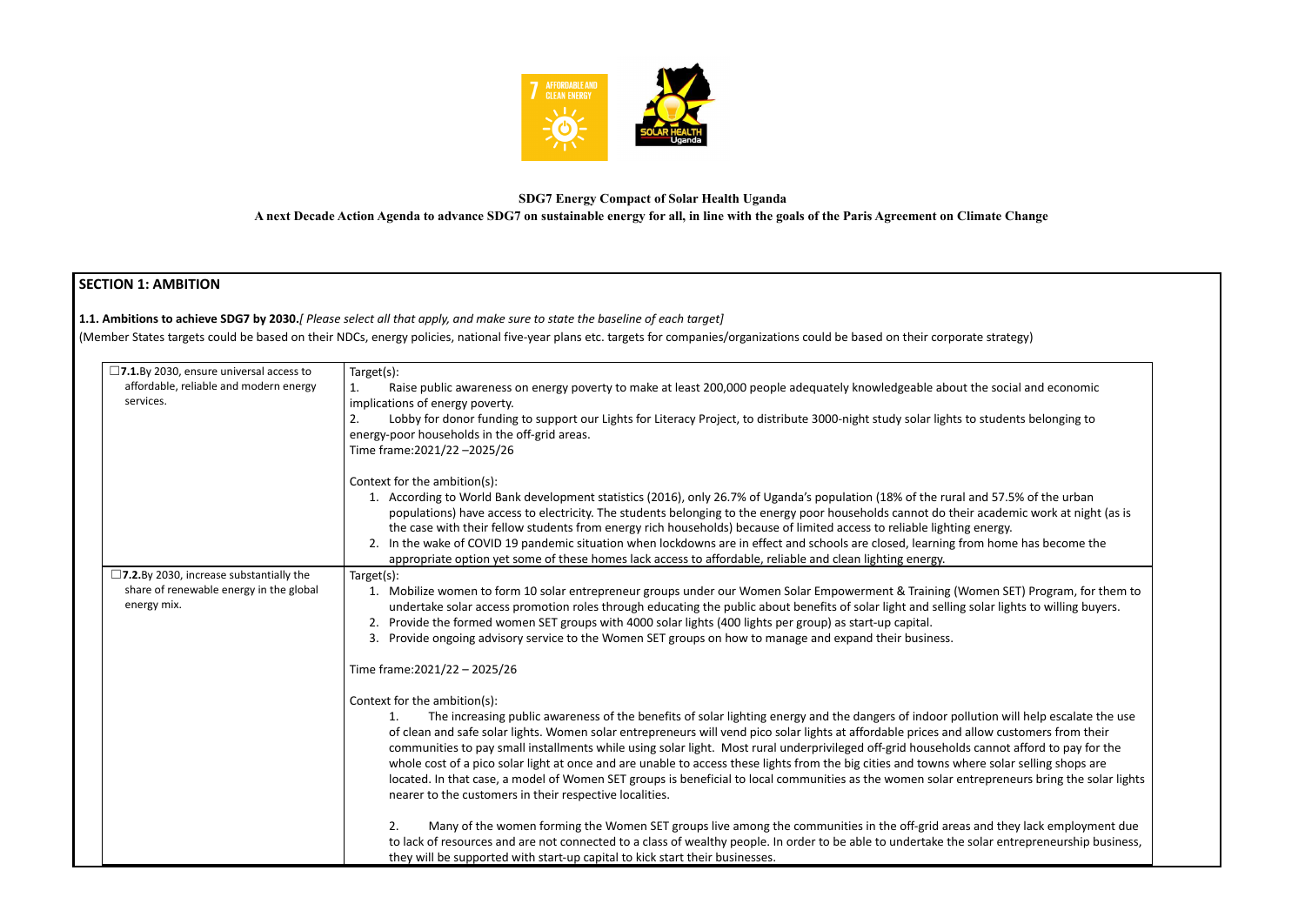

# **SDG7 Energy Compact of Solar Health Uganda**

**1.1. Ambitions to achieve SDG7 by 2030.***[ Please select all that apply, and make sure to state the baseline of each target]* (Member States targets could be based on their NDCs, energy policies, national five-year plans etc. targets for companies/organizations could be based on their corporate

**A next Decade Action Agenda to advance SDG7 on sustainable energy for all, in line with the goals of the Paris Agreement on Climate Change**

# **SECTION 1: AMBITION**

| □7.1.By 2030, ensure universal access to<br>affordable, reliable and modern energy<br>services.             | Target(s):<br>Raise public awareness on energy poverty to make at least 200,000 people adequately knowledgeable about the soci<br>1.<br>implications of energy poverty.<br>Lobby for donor funding to support our Lights for Literacy Project, to distribute 3000-night study solar lights to studer<br>2.<br>energy-poor households in the off-grid areas.<br>Time frame: 2021/22 - 2025/26                                                                                                                                                                                                                                                                                                                                                             |
|-------------------------------------------------------------------------------------------------------------|----------------------------------------------------------------------------------------------------------------------------------------------------------------------------------------------------------------------------------------------------------------------------------------------------------------------------------------------------------------------------------------------------------------------------------------------------------------------------------------------------------------------------------------------------------------------------------------------------------------------------------------------------------------------------------------------------------------------------------------------------------|
|                                                                                                             | Context for the ambition(s):<br>1. According to World Bank development statistics (2016), only 26.7% of Uganda's population (18% of the rural and 57.5<br>populations) have access to electricity. The students belonging to the energy poor households cannot do their acader<br>the case with their fellow students from energy rich households) because of limited access to reliable lighting energy.<br>2. In the wake of COVID 19 pandemic situation when lockdowns are in effect and schools are closed, learning from home<br>appropriate option yet some of these homes lack access to affordable, reliable and clean lighting energy.                                                                                                          |
| $\square$ 7.2.By 2030, increase substantially the<br>share of renewable energy in the global<br>energy mix. | Target(s):<br>1. Mobilize women to form 10 solar entrepreneur groups under our Women Solar Empowerment & Training (Women SE<br>undertake solar access promotion roles through educating the public about benefits of solar light and selling solar light<br>2. Provide the formed women SET groups with 4000 solar lights (400 lights per group) as start-up capital.<br>3. Provide ongoing advisory service to the Women SET groups on how to manage and expand their business.                                                                                                                                                                                                                                                                         |
|                                                                                                             | Time frame: 2021/22 - 2025/26<br>Context for the ambition(s):<br>The increasing public awareness of the benefits of solar lighting energy and the dangers of indoor pollution wi<br>1.<br>of clean and safe solar lights. Women solar entrepreneurs will vend pico solar lights at affordable prices and allow cus<br>communities to pay small installments while using solar light. Most rural underprivileged off-grid households cannot<br>whole cost of a pico solar light at once and are unable to access these lights from the big cities and towns where solar<br>located. In that case, a model of Women SET groups is beneficial to local communities as the women solar entreprene<br>nearer to the customers in their respective localities. |
|                                                                                                             | Many of the women forming the Women SET groups live among the communities in the off-grid areas and the<br>2.<br>to lack of resources and are not connected to a class of wealthy people. In order to be able to undertake the solar ent<br>they will be supported with start-up capital to kick start their businesses.                                                                                                                                                                                                                                                                                                                                                                                                                                 |

| strategy) |  |  |
|-----------|--|--|
|           |  |  |

social and economic

tudents belonging to

157.5% of the urban cademic work at night (as is home has become the

en SET) Program, for them to ar lights to willing buyers.

on will help escalate the use w customers from their nnot afford to pay for the solar selling shops are solar selling preneurs bring the solar lights

d they lack employment due ar entrepreneurship business,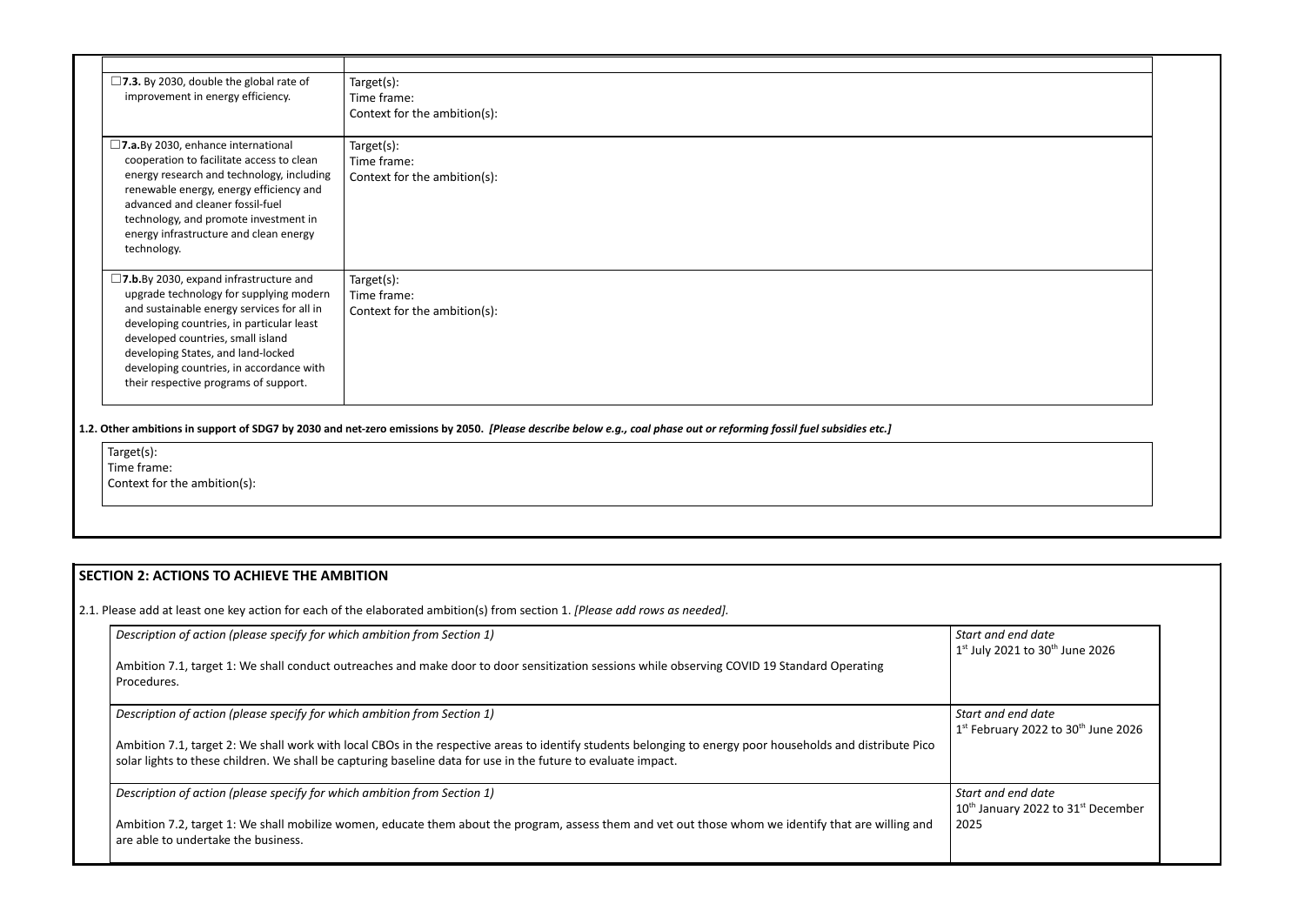| $\square$ 7.3. By 2030, double the global rate of<br>improvement in energy efficiency.                                                                                                                                     | Target(s):<br>Time frame:                   |
|----------------------------------------------------------------------------------------------------------------------------------------------------------------------------------------------------------------------------|---------------------------------------------|
|                                                                                                                                                                                                                            | Context for the ambition(s):                |
| $\square$ 7.a. By 2030, enhance international<br>cooperation to facilitate access to clean                                                                                                                                 | Target(s):<br>Time frame:                   |
| energy research and technology, including<br>renewable energy, energy efficiency and<br>advanced and cleaner fossil-fuel<br>technology, and promote investment in<br>energy infrastructure and clean energy<br>technology. | Context for the ambition(s):                |
| $\square$ 7.b.By 2030, expand infrastructure and                                                                                                                                                                           | Target(s):                                  |
| upgrade technology for supplying modern<br>and sustainable energy services for all in                                                                                                                                      | Time frame:<br>Context for the ambition(s): |
| developing countries, in particular least                                                                                                                                                                                  |                                             |
| developed countries, small island<br>developing States, and land-locked                                                                                                                                                    |                                             |
| developing countries, in accordance with                                                                                                                                                                                   |                                             |
| their respective programs of support.                                                                                                                                                                                      |                                             |

1.2. Other ambitions in support of SDG7 by 2030 and net-zero emissions by 2050. [Please describe below e.g., coal phase out or reforming fossil fuel subsidies etc.]

Target(s): Time frame: Context for the ambition(s):

> *Start and end date* July 2021 to 30<sup>th</sup> June 2026

# **SECTION 2: ACTIONS TO ACHIEVE THE AMBITION**

2.1. Please add at least one key action for each of the elaborated ambition(s) from section 1. *[Please add rows as needed].*

| Description of action (please specify for which ambition from Section 1)                                                                                                                                                                                                    | Start o<br>$1st$ July          |
|-----------------------------------------------------------------------------------------------------------------------------------------------------------------------------------------------------------------------------------------------------------------------------|--------------------------------|
| Ambition 7.1, target 1: We shall conduct outreaches and make door to door sensitization sessions while observing COVID 19 Standard Operating<br>Procedures.                                                                                                                 |                                |
| Description of action (please specify for which ambition from Section 1)                                                                                                                                                                                                    | Start o<br>$1st$ Feb           |
| Ambition 7.1, target 2: We shall work with local CBOs in the respective areas to identify students belonging to energy poor households and distribute Pico<br>solar lights to these children. We shall be capturing baseline data for use in the future to evaluate impact. |                                |
| Description of action (please specify for which ambition from Section 1)                                                                                                                                                                                                    | Start o<br>$10^{\text{th}}$ Ja |
| Ambition 7.2, target 1: We shall mobilize women, educate them about the program, assess them and vet out those whom we identify that are willing and<br>are able to undertake the business.                                                                                 | 2025                           |

and end date anuary 2022 to 31<sup>st</sup> December

and end date <sup>st</sup> February 2022 to 30<sup>th</sup> June 2026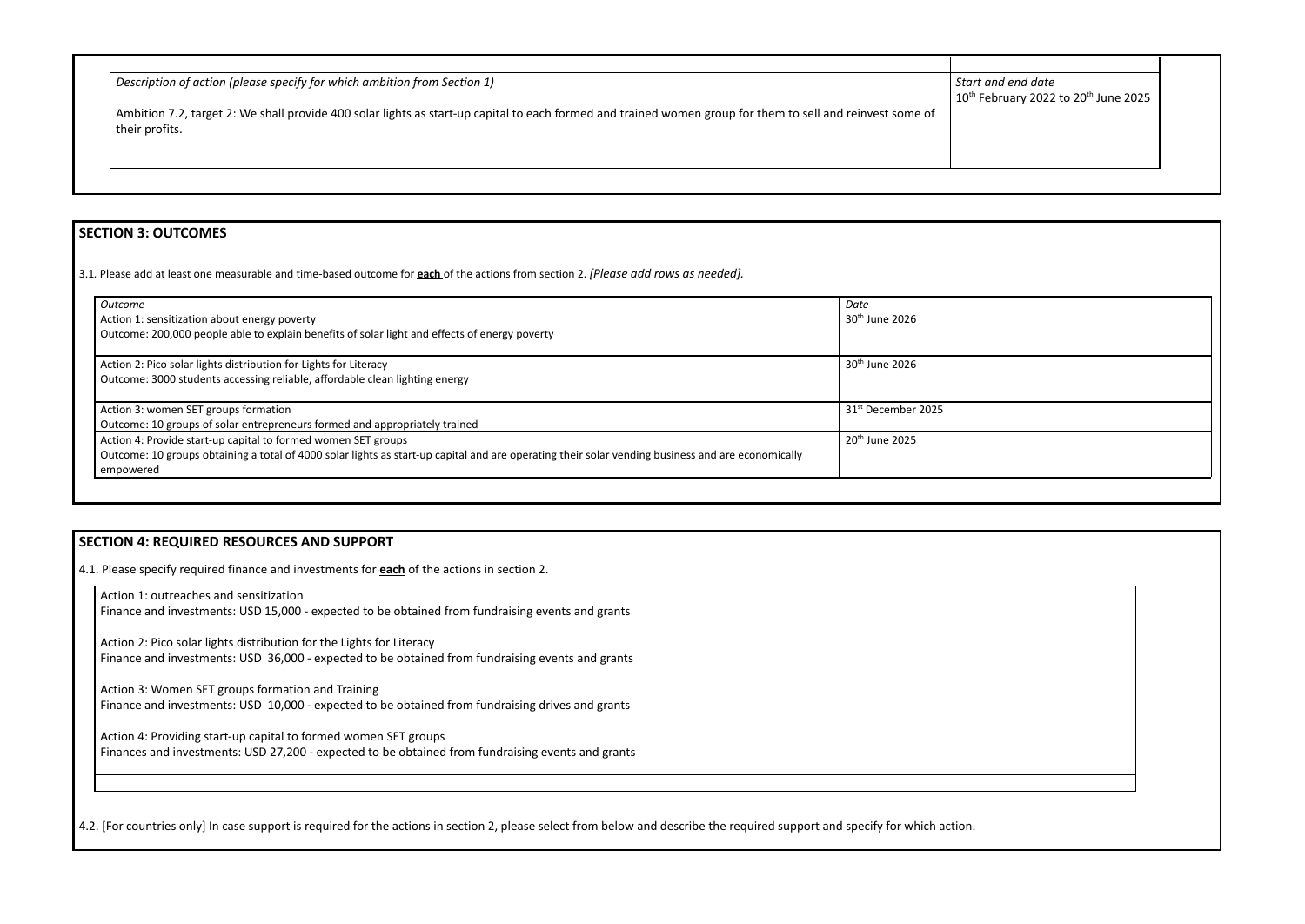| $\mid$ Description of action (please specify for which ambition from Section 1)                                                                                              | Start              |
|------------------------------------------------------------------------------------------------------------------------------------------------------------------------------|--------------------|
|                                                                                                                                                                              | $10^{\text{th}}$ F |
| Ambition 7.2, target 2: We shall provide 400 solar lights as start-up capital to each formed and trained women group for them to sell and reinvest some of<br>their profits. |                    |
|                                                                                                                                                                              |                    |
|                                                                                                                                                                              |                    |
|                                                                                                                                                                              |                    |
|                                                                                                                                                                              |                    |

### **SECTION 3: OUTCOMES**

3.1*.* Please add at least one measurable and time-based outcome for **each** of the actions from section 2. *[Please add rows as needed].*

| <b>Outcome</b>                                                                                                                                                 | Date                           |
|----------------------------------------------------------------------------------------------------------------------------------------------------------------|--------------------------------|
| Action 1: sensitization about energy poverty                                                                                                                   | $30th$ June 2026               |
| Outcome: 200,000 people able to explain benefits of solar light and effects of energy poverty                                                                  |                                |
| Action 2: Pico solar lights distribution for Lights for Literacy                                                                                               | 30 <sup>th</sup> June 2026     |
| Outcome: 3000 students accessing reliable, affordable clean lighting energy                                                                                    |                                |
| Action 3: women SET groups formation                                                                                                                           | 31 <sup>st</sup> December 2025 |
| Outcome: 10 groups of solar entrepreneurs formed and appropriately trained                                                                                     |                                |
| Action 4: Provide start-up capital to formed women SET groups                                                                                                  | 20 <sup>th</sup> June 2025     |
| Outcome: 10 groups obtaining a total of 4000 solar lights as start-up capital and are operating their solar vending business and are economically<br>empowered |                                |

## **SECTION 4: REQUIRED RESOURCES AND SUPPORT**

4.1. Please specify required finance and investments for **each** of the actions in section 2.

Action 1: outreaches and sensitization

Finance and investments: USD 15,000 - expected to be obtained from fundraising events and grants

Action 2: Pico solar lights distribution for the Lights for Literacy Finance and investments: USD 36,000 - expected to be obtained from fundraising events and grants

Action 3: Women SET groups formation and Training Finance and investments: USD 10,000 - expected to be obtained from fundraising drives and grants

Action 4: Providing start-up capital to formed women SET groups Finances and investments: USD 27,200 - expected to be obtained from fundraising events and grants

4.2. [For countries only] In case support is required for the actions in section 2, please select from below and describe the required support and specify for which action.

# and end date  $10^{th}$  February 2022 to 20<sup>th</sup> June 2025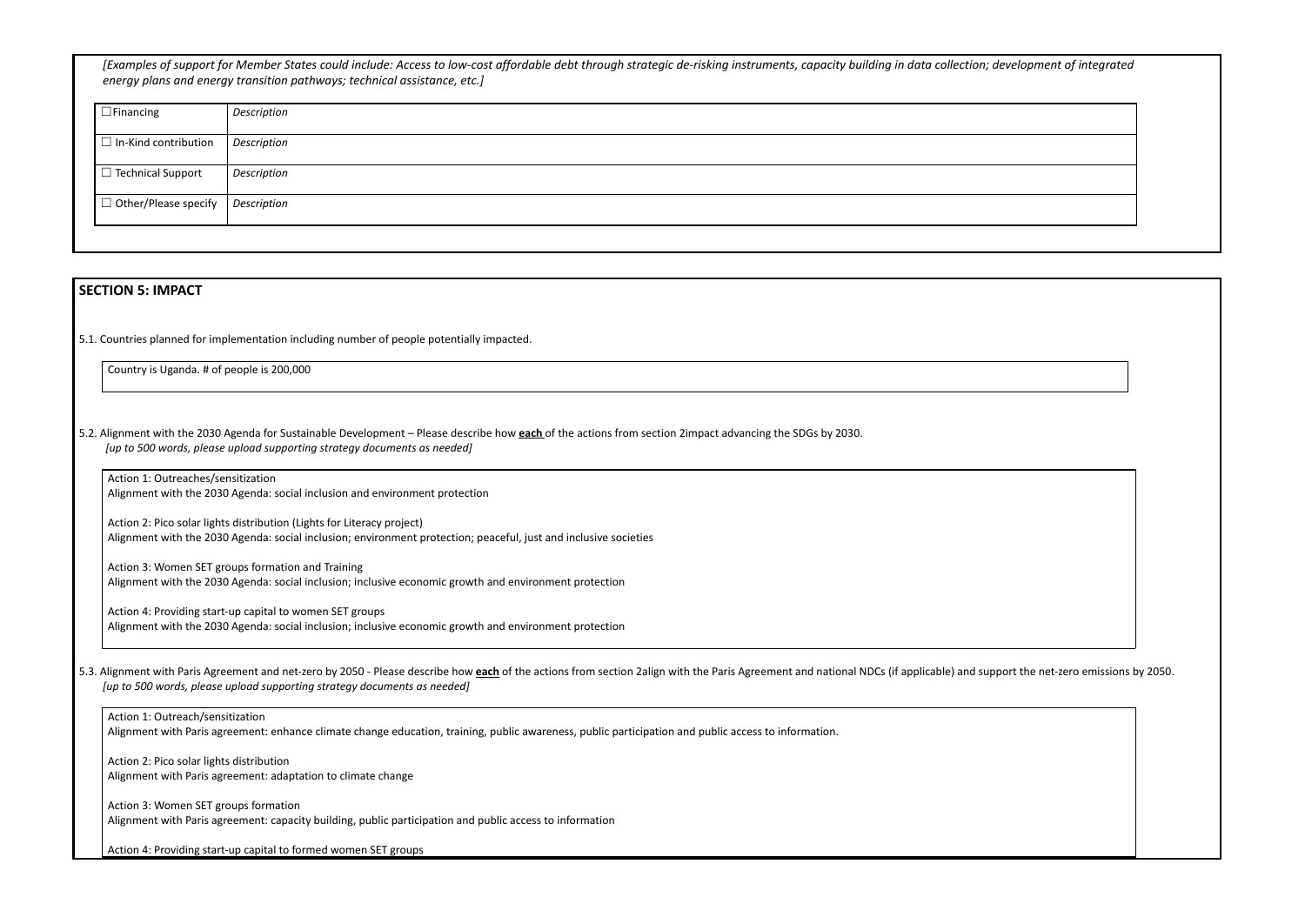[Examples of support for Member States could include: Access to low-cost affordable debt through strategic de-risking instruments, capacity building in data collection; *energy plans and energy transition pathways; technical assistance, etc.]*

| $\Box$ Financing            | Description        |
|-----------------------------|--------------------|
| $\Box$ In-Kind contribution | <b>Description</b> |
| $\Box$ Technical Support    | Description        |
| $\Box$ Other/Please specify | Description        |
|                             |                    |

### **SECTION 5: IMPACT**

5.1. Countries planned for implementation including number of people potentially impacted.

Country is Uganda. # of people is 200,000

5.2. Alignment with the 2030 Agenda for Sustainable Development – Please describe how **each** of the actions from section 2impact advancing the SDGs by 2030. *[up to 500 words, please upload supporting strategy documents as needed]*

Action 1: Outreaches/sensitization Alignment with the 2030 Agenda: social inclusion and environment protection

5.3. Alignment with Paris Agreement and net-zero by 2050 - Please describe how each of the actions from section 2align with the Paris Agreement and national NDCs (if applicable) and su *[up to 500 words, please upload supporting strategy documents as needed]*

Action 2: Pico solar lights distribution (Lights for Literacy project) Alignment with the 2030 Agenda: social inclusion; environment protection; peaceful, just and inclusive societies

Action 3: Women SET groups formation and Training Alignment with the 2030 Agenda: social inclusion; inclusive economic growth and environment protection

Action 4: Providing start-up capital to women SET groups Alignment with the 2030 Agenda: social inclusion; inclusive economic growth and environment protection

### Action 1: Outreach/sensitization

Alignment with Paris agreement: enhance climate change education, training, public awareness, public participation and public access to information.

Action 2: Pico solar lights distribution Alignment with Paris agreement: adaptation to climate change

Action 3: Women SET groups formation Alignment with Paris agreement: capacity building, public participation and public access to information

Action 4: Providing start-up capital to formed women SET groups

| ; development of integrated            |
|----------------------------------------|
|                                        |
|                                        |
|                                        |
|                                        |
|                                        |
|                                        |
|                                        |
|                                        |
|                                        |
| upport the net-zero emissions by 2050. |
|                                        |
|                                        |
|                                        |
|                                        |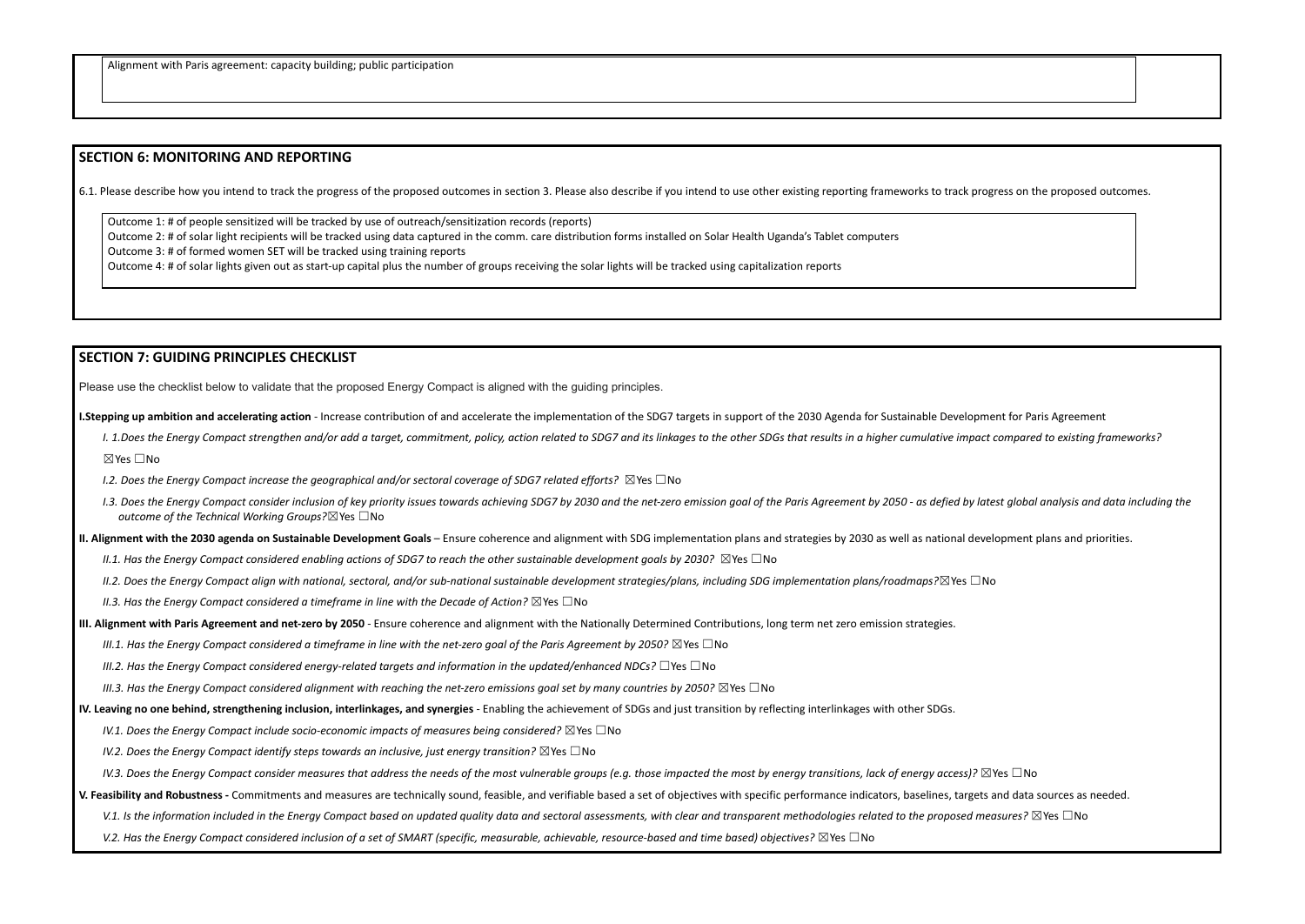#### **SECTION 6: MONITORING AND REPORTING**

6.1. Please describe how you intend to track the progress of the proposed outcomes in section 3. Please also describe if you intend to use other existing reporting frameworks to track progress on the proposed outcomes.

Outcome 1: # of people sensitized will be tracked by use of outreach/sensitization records (reports) Outcome 2: # of solar light recipients will be tracked using data captured in the comm. care distribution forms installed on Solar Health Uganda's Tablet computers Outcome 3: # of formed women SET will be tracked using training reports

I. 1.Does the Energy Compact strengthen and/or add a target, commitment, policy, action related to SDG7 and its linkages to the other SDGs that results in a higher cumulative impact compared to existing frameworks? ☒Yes ☐No

Outcome 4: # of solar lights given out as start-up capital plus the number of groups receiving the solar lights will be tracked using capitalization reports

### **SECTION 7: GUIDING PRINCIPLES CHECKLIST**

Please use the checklist below to validate that the proposed Energy Compact is aligned with the guiding principles.

**I.Stepping up ambition and accelerating action** - Increase contribution of and accelerate the implementation of the SDG7 targets in support of the 2030 Agenda for Sustainable Development for Paris Agreement

- *I.2. Does the Energy Compact increase the geographical and/or sectoral coverage of SDG7 related efforts?* ☒Yes ☐No
- 1.3. Does the Eneray Compact consider inclusion of key priority issues towards achieving SDG7 by 2030 and the net-zero emission apal of the Paris Agreement by 2050 as defied by latest alobal analysis and data including t *outcome of the Technical Working Groups?*☒Yes ☐No

II. Alignment with the 2030 agenda on Sustainable Development Goals – Ensure coherence and alignment with SDG implementation plans and strategies by 2030 as well as national development plans and priorities.

II.1. Has the Enerav Compact considered enablina actions of SDG7 to reach the other sustainable development aoals by 2030?  $\boxtimes$  Yes  $\Box$  No

II.2. Does the Energy Compact align with national, sectoral, and/or sub-national sustainable development strategies/plans, including SDG implementation plans/roadmaps? $\boxtimes$ Yes  $\Box$ No

*II.3. Has the Energy Compact considered a timeframe in line with the Decade of Action?* ☒Yes ☐No

III. Alignment with Paris Agreement and net-zero by 2050 - Ensure coherence and alignment with the Nationally Determined Contributions, long term net zero emission strategies.

III.1. Has the Energy Compact considered a timeframe in line with the net-zero goal of the Paris Agreement by 2050?  $\boxtimes$  Yes  $\Box$  No

*III.2. Has the Energy Compact considered energy-related targets and information in the updated/enhanced NDCs?* ☐Yes ☐No

III.3. Has the Energy Compact considered alignment with reaching the net-zero emissions goal set by many countries by 2050?  $\boxtimes$  Yes  $\Box$  No

IV. Leaving no one behind, strengthening inclusion, interlinkages, and synergies - Enabling the achievement of SDGs and just transition by reflecting interlinkages with other SDGs.

*IV.1. Does the Energy Compact include socio-economic impacts of measures being considered?* ☒Yes ☐No

*IV.2. Does the Energy Compact identify steps towards an inclusive, just energy transition?* ☒Yes ☐No

IV.3. Does the Energy Compact consider measures that address the needs of the most vulnerable groups (e.g. those impacted the most by energy transitions, lack of energy access)?  $\boxtimes$  Yes  $\Box$  No

V. Feasibility and Robustness - Commitments and measures are technically sound, feasible, and verifiable based a set of objectives with specific performance indicators, baselines, targets and data sources as needed.

V.1. Is the information included in the Eneray Compact based on updated auality data and sectoral assessments, with clear and transparent methodologies related to the proposed measures?  $\boxtimes$  Yes  $\Box$  No

V.2. Has the Enerav Compact considered inclusion of a set of SMART (specific, measurable, achievable, resource-based and time based) objectives?  $\boxtimes$  Yes  $\Box$  No